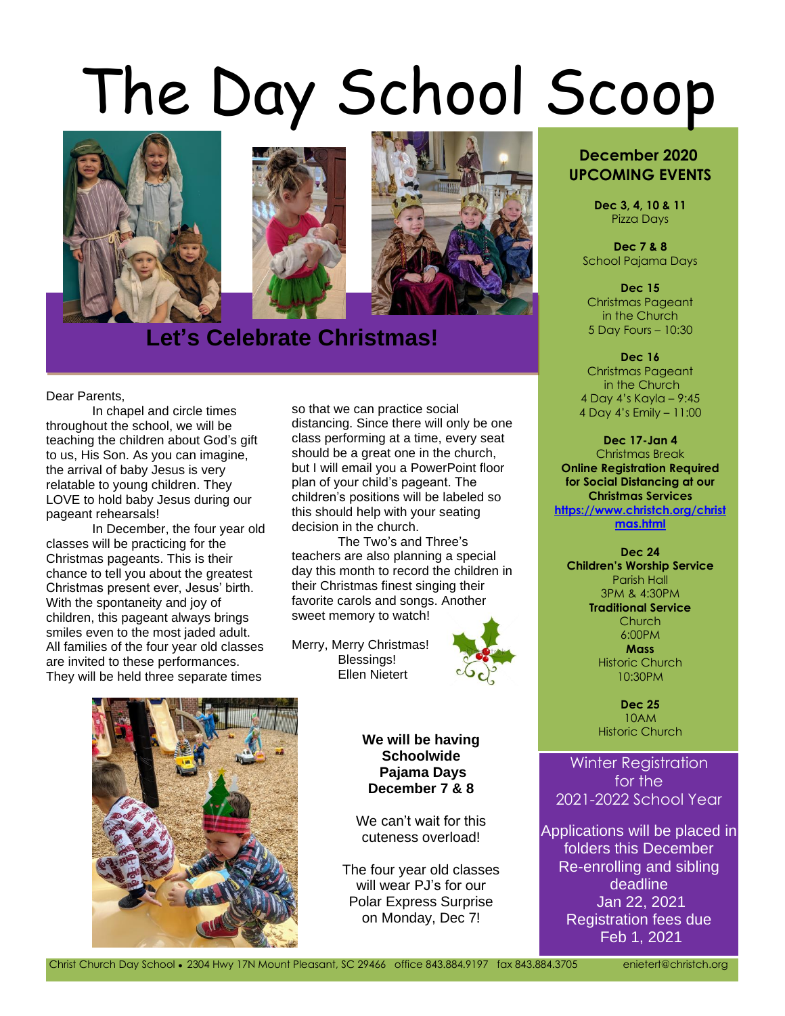# The Day School Scoop



## **Let's Celebrate Christmas!**

Dear Parents,

In chapel and circle times throughout the school, we will be teaching the children about God's gift to us, His Son. As you can imagine, the arrival of baby Jesus is very relatable to young children. They LOVE to hold baby Jesus during our pageant rehearsals!

In December, the four year old classes will be practicing for the Christmas pageants. This is their chance to tell you about the greatest Christmas present ever, Jesus' birth. With the spontaneity and joy of children, this pageant always brings smiles even to the most jaded adult. All families of the four year old classes are invited to these performances. They will be held three separate times

so that we can practice social distancing. Since there will only be one class performing at a time, every seat should be a great one in the church, but I will email you a PowerPoint floor plan of your child's pageant. The children's positions will be labeled so this should help with your seating decision in the church.

The Two's and Three's teachers are also planning a special day this month to record the children in their Christmas finest singing their favorite carols and songs. Another sweet memory to watch!

Merry, Merry Christmas! Blessings! Ellen Nietert





**We will be having a metally develop to the Historic Church We will be having Schoolwide Pajama Days December 7 & 8**

We can't wait for this cuteness overload!

The four year old classes will wear PJ's for our Polar Express Surprise on Monday, Dec 7!

#### **December 2020 UPCOMING EVENTS**

**Dec 3, 4, 10 & 11** Pizza Days

**Dec 7 & 8** School Pajama Days

**Dec 15** Christmas Pageant in the Church 5 Day Fours – 10:30

**Dec 16** Christmas Pageant in the Church 4 Day 4's Kayla – 9:45 4 Day 4's Emily – 11:00

**Dec 17-Jan 4** Christmas Break **Online Registration Required for Social Distancing at our Christmas Services [https://www.christch.org/christ](https://www.christch.org/christmas.html) [mas.html](https://www.christch.org/christmas.html)**

**Dec 24 Children's Worship Service** Parish Hall 3PM & 4:30PM **Traditional Service** Church 6:00PM

> **Mass** Historic Church 10:30PM

**Dec 25** 10AM

Winter Registration for the 2021-2022 School Year

Applications will be placed in folders this December Re-enrolling and sibling deadline Jan 22, 2021 Registration fees due Feb 1, 2021